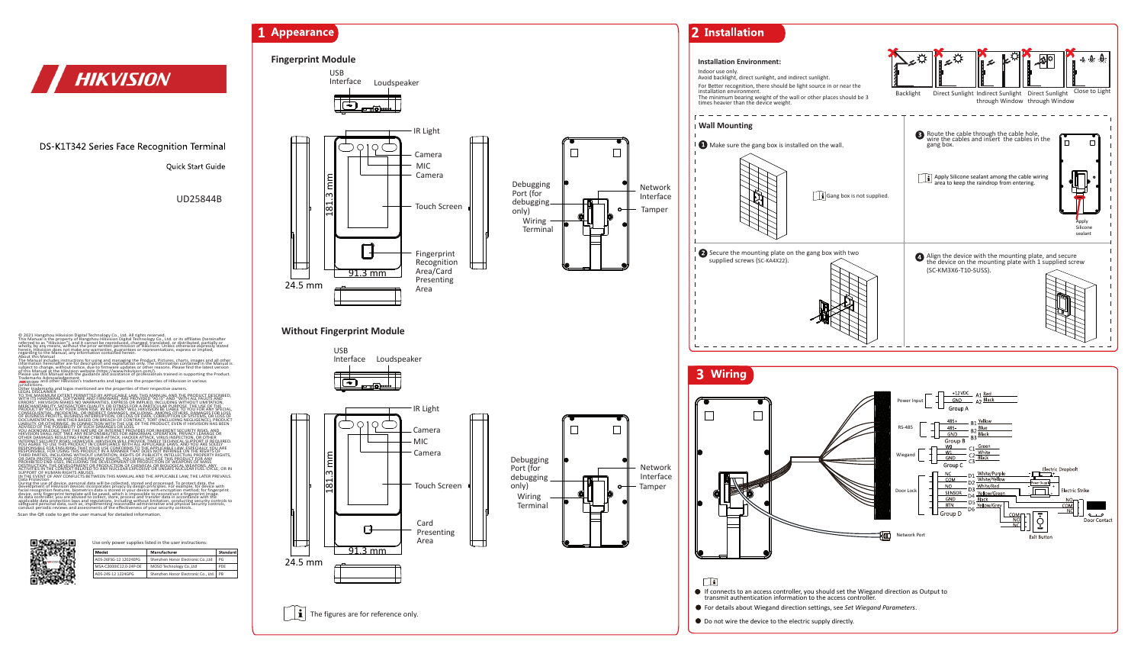

DS-K1T342 Series Face Recognition Terminal

**Ouick Start Guide** 

If connects to an access controller, you should set the Wiegand direction as Output to

UD25844B

© 2021 Hangzhou Hikwision Digital Technology Co., Ltd. All rights reserved.<br>This Manual Is the property of Hangzhou Hikwision Digital Technology Co., Ltd. or its affiliates (hereinafter<br>referred to as "Hikvision"), and it

| l Model                | Manufacturer                        | Standard I |
|------------------------|-------------------------------------|------------|
| ADS-26FSG-12 12024EPG  | Shenzhen Honor Electronic Co.,Ltd   | PG         |
| MSA-C2000IC12.0-24P-DE | MOSO Technology Co., Ltd            | PDF        |
| ADS-24S-12 1224GPG     | Shenzhen Honor Electronic Co., Ltd. | PR         |
|                        |                                     |            |

The Manual includes instructions for using and managing the Product. Pictures, charts, images and all other information hereinafter are for description and explanation only. The information contained in the Manual is subject to change, without notice, due to firmware updates or other reasons. Please find the latest version<br>of this Manual at the Hikvision website (https://www.hikvision.com/).<br>Please use this Manual with the guidance and

Trademarks Acknowledgement<br>*HIKVISION* and other Hikvision's trademarks and logos are the properties of Hikvision in various<br>Jurisdictions.

Other trademarks and logos mentioned are the properties of their respective owners. The PRODUCT DESCRIBED, LEGAL DRIVER IS NOT THE PRODUCT DESCRIBED, LEGAL THE RESPONSIBLE TO A THE RESPONSIBLE TO A THE RESPONSIBLE TO A THE LIABILITY, OR OTHÉRWISE, IN CONNECTION WITH THE USE OF THE PRODUCT, EVEN IF HIKVISION HAS BEEN<br>ADVISED OF THE POSSIBILITY OF SUCH DAMAGES OR LOSS.<br>HIKVISION SHALL NOT TAKE ANY RESPONSIBILITIES FOR ABNORMAL OPERATION, PRIVA YOU AGREE TO USE THIS PRODUCT IN COMPUTANCE WITH ALL APPLICABLE LAW. ESPECIALLY, YOU ARE<br>RESPONSIBLE, FOR USING THIS PRODUCT IN A MANNER THAT ODER NOT INFRINCE ON THE RIGHTS OF<br>THIRD ARE TO A USING WITHOUT IN A MANNER THAT

| Use only power supplies listed in the user instructions: |   |  |  |  |
|----------------------------------------------------------|---|--|--|--|
| .                                                        | . |  |  |  |

IN THE EVENT OF ANY CONFLICTS BETWEEN THIS MANUAL AND THE APPLICABLE LAW, THE LATER PREVAILS. Data Protection<br>The unit of the control of the control of the collected, stored and processed. To protect data, the<br>During the use of device, personal data will be collected, stored and processed. To protect data, the<br>dica



- $\Box$
- transmit authentication information to the access controller.
- For details about Wiegand direction settings, see *Set Wiegand Parameters*.
- $\bullet$  Do not wire the device to the electric supply directly.

Scan the QR code to get the user manual for detailed information.





# **Without Fingerprint Module**

**1**





 $\left| \mathbf{I} \right|$  The figures are for reference only.